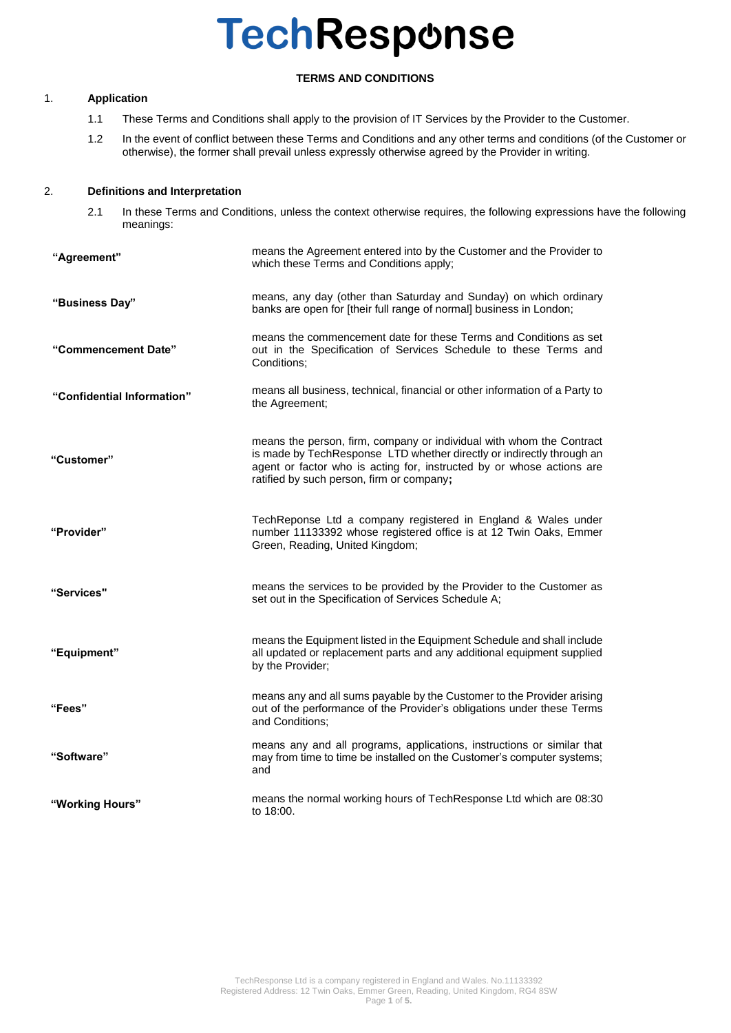# **TERMS AND CONDITIONS**

# 1. **Application**

- 1.1 These Terms and Conditions shall apply to the provision of IT Services by the Provider to the Customer.
- 1.2 In the event of conflict between these Terms and Conditions and any other terms and conditions (of the Customer or otherwise), the former shall prevail unless expressly otherwise agreed by the Provider in writing.

## 2. **Definitions and Interpretation**

2.1 In these Terms and Conditions, unless the context otherwise requires, the following expressions have the following meanings:

| "Agreement"                | means the Agreement entered into by the Customer and the Provider to<br>which these Terms and Conditions apply;                                                                                                                                                     |
|----------------------------|---------------------------------------------------------------------------------------------------------------------------------------------------------------------------------------------------------------------------------------------------------------------|
| "Business Day"             | means, any day (other than Saturday and Sunday) on which ordinary<br>banks are open for [their full range of normal] business in London;                                                                                                                            |
| "Commencement Date"        | means the commencement date for these Terms and Conditions as set<br>out in the Specification of Services Schedule to these Terms and<br>Conditions:                                                                                                                |
| "Confidential Information" | means all business, technical, financial or other information of a Party to<br>the Agreement;                                                                                                                                                                       |
| "Customer"                 | means the person, firm, company or individual with whom the Contract<br>is made by TechResponse LTD whether directly or indirectly through an<br>agent or factor who is acting for, instructed by or whose actions are<br>ratified by such person, firm or company; |
| "Provider"                 | TechReponse Ltd a company registered in England & Wales under<br>number 11133392 whose registered office is at 12 Twin Oaks, Emmer<br>Green, Reading, United Kingdom;                                                                                               |
| "Services"                 | means the services to be provided by the Provider to the Customer as<br>set out in the Specification of Services Schedule A;                                                                                                                                        |
| "Equipment"                | means the Equipment listed in the Equipment Schedule and shall include<br>all updated or replacement parts and any additional equipment supplied<br>by the Provider;                                                                                                |
| "Fees"                     | means any and all sums payable by the Customer to the Provider arising<br>out of the performance of the Provider's obligations under these Terms<br>and Conditions;                                                                                                 |
| "Software"                 | means any and all programs, applications, instructions or similar that<br>may from time to time be installed on the Customer's computer systems;<br>and                                                                                                             |
| "Working Hours"            | means the normal working hours of TechResponse Ltd which are 08:30<br>to 18:00.                                                                                                                                                                                     |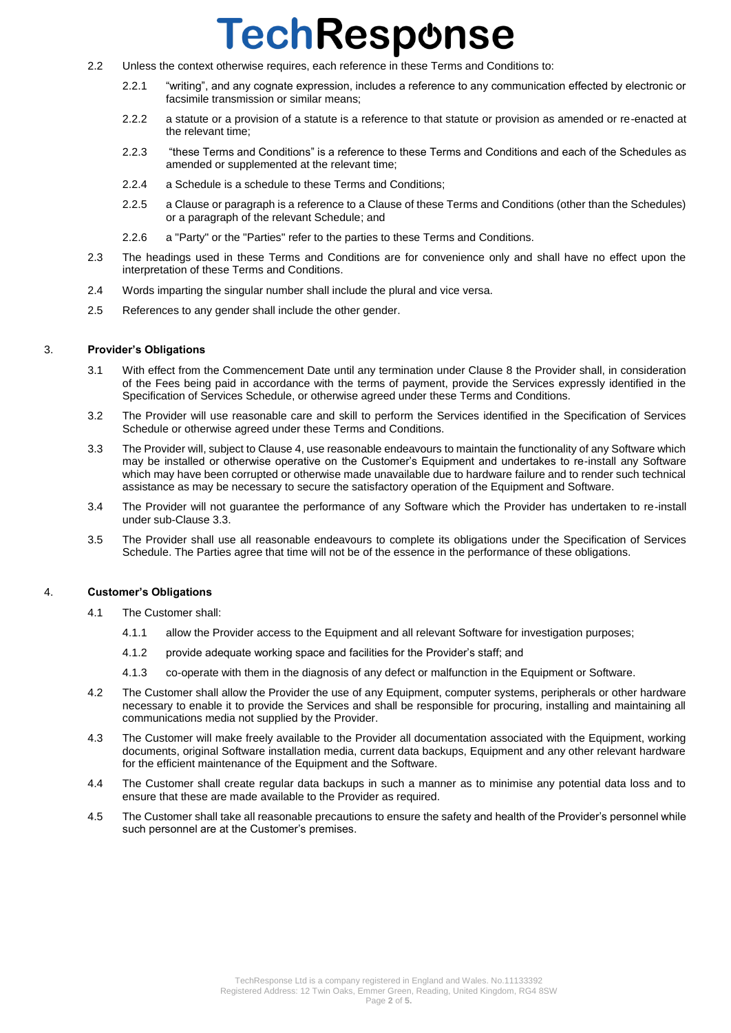- 2.2 Unless the context otherwise requires, each reference in these Terms and Conditions to:
	- 2.2.1 "writing", and any cognate expression, includes a reference to any communication effected by electronic or facsimile transmission or similar means;
	- 2.2.2 a statute or a provision of a statute is a reference to that statute or provision as amended or re-enacted at the relevant time;
	- 2.2.3 "these Terms and Conditions" is a reference to these Terms and Conditions and each of the Schedules as amended or supplemented at the relevant time;
	- 2.2.4 a Schedule is a schedule to these Terms and Conditions;
	- 2.2.5 a Clause or paragraph is a reference to a Clause of these Terms and Conditions (other than the Schedules) or a paragraph of the relevant Schedule; and
	- 2.2.6 a "Party" or the "Parties" refer to the parties to these Terms and Conditions.
- 2.3 The headings used in these Terms and Conditions are for convenience only and shall have no effect upon the interpretation of these Terms and Conditions.
- 2.4 Words imparting the singular number shall include the plural and vice versa.
- 2.5 References to any gender shall include the other gender.

### 3. **Provider's Obligations**

- 3.1 With effect from the Commencement Date until any termination under Clause 8 the Provider shall, in consideration of the Fees being paid in accordance with the terms of payment, provide the Services expressly identified in the Specification of Services Schedule, or otherwise agreed under these Terms and Conditions.
- 3.2 The Provider will use reasonable care and skill to perform the Services identified in the Specification of Services Schedule or otherwise agreed under these Terms and Conditions.
- 3.3 The Provider will, subject to Clause 4, use reasonable endeavours to maintain the functionality of any Software which may be installed or otherwise operative on the Customer's Equipment and undertakes to re-install any Software which may have been corrupted or otherwise made unavailable due to hardware failure and to render such technical assistance as may be necessary to secure the satisfactory operation of the Equipment and Software.
- 3.4 The Provider will not guarantee the performance of any Software which the Provider has undertaken to re-install under sub-Clause 3.3.
- 3.5 The Provider shall use all reasonable endeavours to complete its obligations under the Specification of Services Schedule. The Parties agree that time will not be of the essence in the performance of these obligations.

### 4. **Customer's Obligations**

- 4.1 The Customer shall:
	- 4.1.1 allow the Provider access to the Equipment and all relevant Software for investigation purposes;
	- 4.1.2 provide adequate working space and facilities for the Provider's staff; and
	- 4.1.3 co-operate with them in the diagnosis of any defect or malfunction in the Equipment or Software.
- 4.2 The Customer shall allow the Provider the use of any Equipment, computer systems, peripherals or other hardware necessary to enable it to provide the Services and shall be responsible for procuring, installing and maintaining all communications media not supplied by the Provider.
- 4.3 The Customer will make freely available to the Provider all documentation associated with the Equipment, working documents, original Software installation media, current data backups, Equipment and any other relevant hardware for the efficient maintenance of the Equipment and the Software.
- 4.4 The Customer shall create regular data backups in such a manner as to minimise any potential data loss and to ensure that these are made available to the Provider as required.
- 4.5 The Customer shall take all reasonable precautions to ensure the safety and health of the Provider's personnel while such personnel are at the Customer's premises.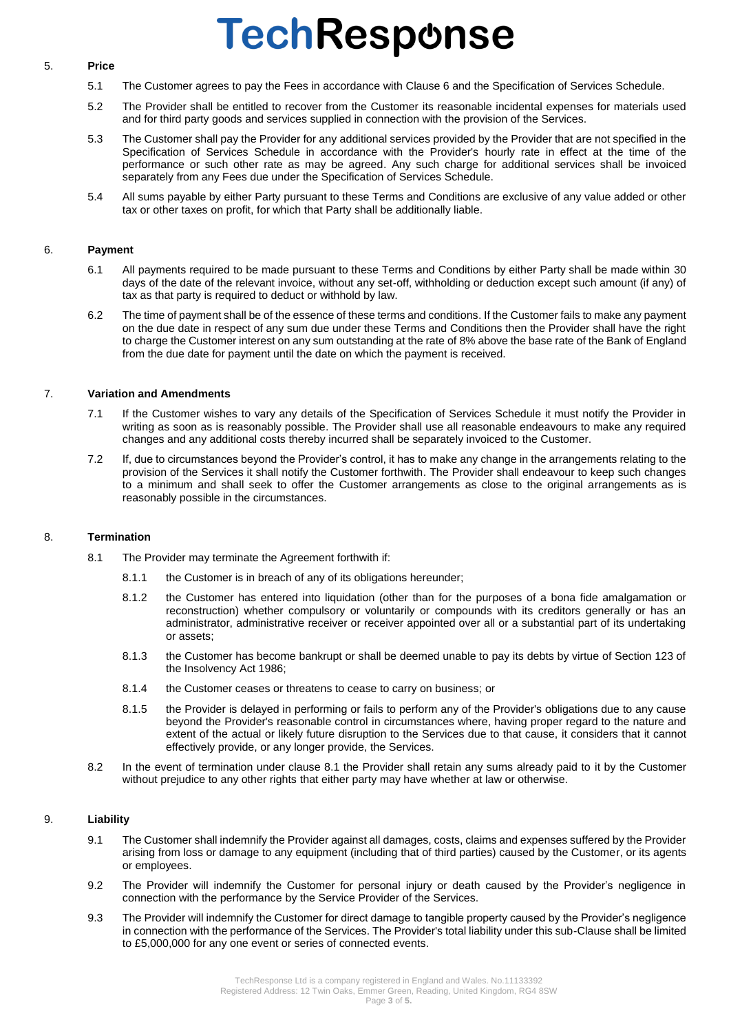### 5. **Price**

- 5.1 The Customer agrees to pay the Fees in accordance with Clause 6 and the Specification of Services Schedule.
- 5.2 The Provider shall be entitled to recover from the Customer its reasonable incidental expenses for materials used and for third party goods and services supplied in connection with the provision of the Services.
- 5.3 The Customer shall pay the Provider for any additional services provided by the Provider that are not specified in the Specification of Services Schedule in accordance with the Provider's hourly rate in effect at the time of the performance or such other rate as may be agreed. Any such charge for additional services shall be invoiced separately from any Fees due under the Specification of Services Schedule.
- 5.4 All sums payable by either Party pursuant to these Terms and Conditions are exclusive of any value added or other tax or other taxes on profit, for which that Party shall be additionally liable.

## 6. **Payment**

- 6.1 All payments required to be made pursuant to these Terms and Conditions by either Party shall be made within 30 days of the date of the relevant invoice, without any set-off, withholding or deduction except such amount (if any) of tax as that party is required to deduct or withhold by law.
- 6.2 The time of payment shall be of the essence of these terms and conditions. If the Customer fails to make any payment on the due date in respect of any sum due under these Terms and Conditions then the Provider shall have the right to charge the Customer interest on any sum outstanding at the rate of 8% above the base rate of the Bank of England from the due date for payment until the date on which the payment is received.

### 7. **Variation and Amendments**

- 7.1 If the Customer wishes to vary any details of the Specification of Services Schedule it must notify the Provider in writing as soon as is reasonably possible. The Provider shall use all reasonable endeavours to make any required changes and any additional costs thereby incurred shall be separately invoiced to the Customer.
- 7.2 If, due to circumstances beyond the Provider's control, it has to make any change in the arrangements relating to the provision of the Services it shall notify the Customer forthwith. The Provider shall endeavour to keep such changes to a minimum and shall seek to offer the Customer arrangements as close to the original arrangements as is reasonably possible in the circumstances.

### 8. **Termination**

- 8.1 The Provider may terminate the Agreement forthwith if:
	- 8.1.1 the Customer is in breach of any of its obligations hereunder;
	- 8.1.2 the Customer has entered into liquidation (other than for the purposes of a bona fide amalgamation or reconstruction) whether compulsory or voluntarily or compounds with its creditors generally or has an administrator, administrative receiver or receiver appointed over all or a substantial part of its undertaking or assets;
	- 8.1.3 the Customer has become bankrupt or shall be deemed unable to pay its debts by virtue of Section 123 of the Insolvency Act 1986;
	- 8.1.4 the Customer ceases or threatens to cease to carry on business; or
	- 8.1.5 the Provider is delayed in performing or fails to perform any of the Provider's obligations due to any cause beyond the Provider's reasonable control in circumstances where, having proper regard to the nature and extent of the actual or likely future disruption to the Services due to that cause, it considers that it cannot effectively provide, or any longer provide, the Services.
- 8.2 In the event of termination under clause 8.1 the Provider shall retain any sums already paid to it by the Customer without prejudice to any other rights that either party may have whether at law or otherwise.

### 9. **Liability**

- 9.1 The Customer shall indemnify the Provider against all damages, costs, claims and expenses suffered by the Provider arising from loss or damage to any equipment (including that of third parties) caused by the Customer, or its agents or employees.
- 9.2 The Provider will indemnify the Customer for personal injury or death caused by the Provider's negligence in connection with the performance by the Service Provider of the Services.
- 9.3 The Provider will indemnify the Customer for direct damage to tangible property caused by the Provider's negligence in connection with the performance of the Services. The Provider's total liability under this sub-Clause shall be limited to £5,000,000 for any one event or series of connected events.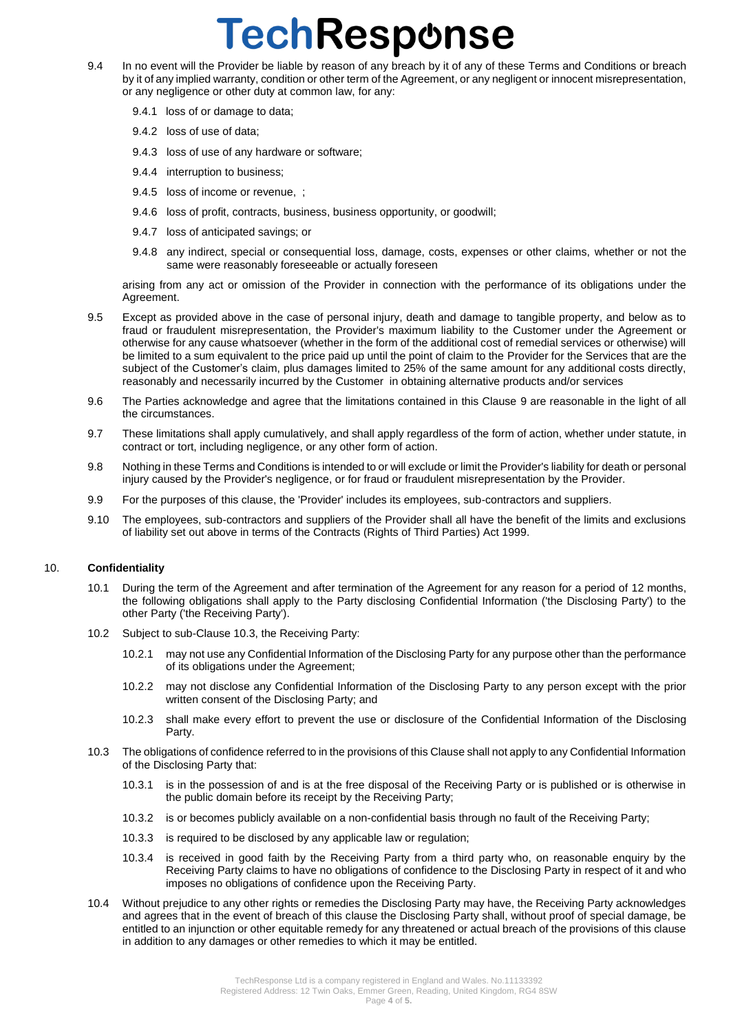- 9.4 In no event will the Provider be liable by reason of any breach by it of any of these Terms and Conditions or breach by it of any implied warranty, condition or other term of the Agreement, or any negligent or innocent misrepresentation, or any negligence or other duty at common law, for any:
	- 9.4.1 loss of or damage to data;
	- 9.4.2 loss of use of data;
	- 9.4.3 loss of use of any hardware or software;
	- 9.4.4 interruption to business;
	- 9.4.5 loss of income or revenue, ;
	- 9.4.6 loss of profit, contracts, business, business opportunity, or goodwill;
	- 9.4.7 loss of anticipated savings; or
	- 9.4.8 any indirect, special or consequential loss, damage, costs, expenses or other claims, whether or not the same were reasonably foreseeable or actually foreseen

arising from any act or omission of the Provider in connection with the performance of its obligations under the Agreement.

- 9.5 Except as provided above in the case of personal injury, death and damage to tangible property, and below as to fraud or fraudulent misrepresentation, the Provider's maximum liability to the Customer under the Agreement or otherwise for any cause whatsoever (whether in the form of the additional cost of remedial services or otherwise) will be limited to a sum equivalent to the price paid up until the point of claim to the Provider for the Services that are the subject of the Customer's claim, plus damages limited to 25% of the same amount for any additional costs directly, reasonably and necessarily incurred by the Customer in obtaining alternative products and/or services
- 9.6 The Parties acknowledge and agree that the limitations contained in this Clause 9 are reasonable in the light of all the circumstances.
- 9.7 These limitations shall apply cumulatively, and shall apply regardless of the form of action, whether under statute, in contract or tort, including negligence, or any other form of action.
- 9.8 Nothing in these Terms and Conditions is intended to or will exclude or limit the Provider's liability for death or personal injury caused by the Provider's negligence, or for fraud or fraudulent misrepresentation by the Provider.
- 9.9 For the purposes of this clause, the 'Provider' includes its employees, sub-contractors and suppliers.
- 9.10 The employees, sub-contractors and suppliers of the Provider shall all have the benefit of the limits and exclusions of liability set out above in terms of the Contracts (Rights of Third Parties) Act 1999.

### 10. **Confidentiality**

- 10.1 During the term of the Agreement and after termination of the Agreement for any reason for a period of 12 months, the following obligations shall apply to the Party disclosing Confidential Information ('the Disclosing Party') to the other Party ('the Receiving Party').
- 10.2 Subject to sub-Clause 10.3, the Receiving Party:
	- 10.2.1 may not use any Confidential Information of the Disclosing Party for any purpose other than the performance of its obligations under the Agreement;
	- 10.2.2 may not disclose any Confidential Information of the Disclosing Party to any person except with the prior written consent of the Disclosing Party; and
	- 10.2.3 shall make every effort to prevent the use or disclosure of the Confidential Information of the Disclosing Party.
- 10.3 The obligations of confidence referred to in the provisions of this Clause shall not apply to any Confidential Information of the Disclosing Party that:
	- 10.3.1 is in the possession of and is at the free disposal of the Receiving Party or is published or is otherwise in the public domain before its receipt by the Receiving Party;
	- 10.3.2 is or becomes publicly available on a non-confidential basis through no fault of the Receiving Party;
	- 10.3.3 is required to be disclosed by any applicable law or regulation;
	- 10.3.4 is received in good faith by the Receiving Party from a third party who, on reasonable enquiry by the Receiving Party claims to have no obligations of confidence to the Disclosing Party in respect of it and who imposes no obligations of confidence upon the Receiving Party.
- 10.4 Without prejudice to any other rights or remedies the Disclosing Party may have, the Receiving Party acknowledges and agrees that in the event of breach of this clause the Disclosing Party shall, without proof of special damage, be entitled to an injunction or other equitable remedy for any threatened or actual breach of the provisions of this clause in addition to any damages or other remedies to which it may be entitled.